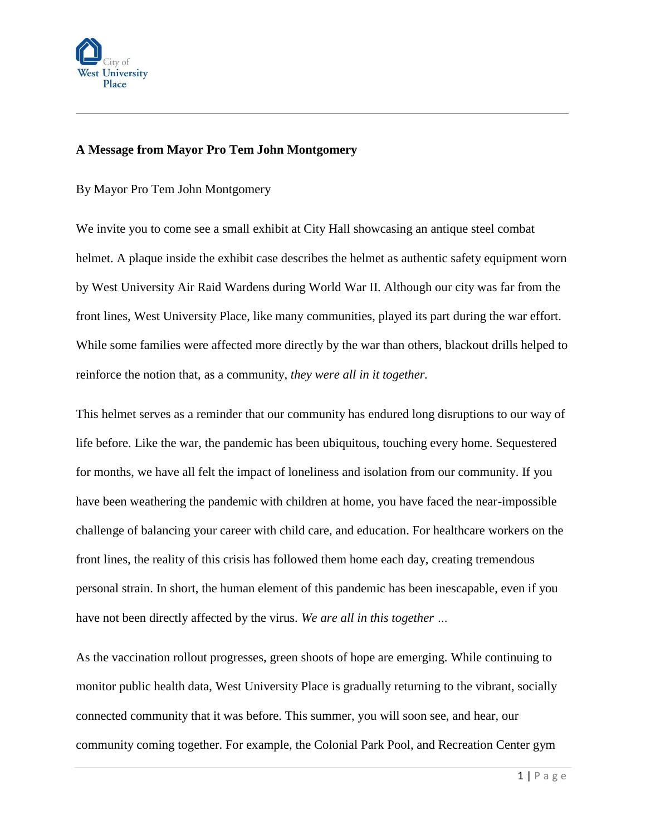

## **A Message from Mayor Pro Tem John Montgomery**

By Mayor Pro Tem John Montgomery

We invite you to come see a small exhibit at City Hall showcasing an antique steel combat helmet. A plaque inside the exhibit case describes the helmet as authentic safety equipment worn by West University Air Raid Wardens during World War II. Although our city was far from the front lines, West University Place, like many communities, played its part during the war effort. While some families were affected more directly by the war than others, blackout drills helped to reinforce the notion that, as a community, *they were all in it together.* 

This helmet serves as a reminder that our community has endured long disruptions to our way of life before. Like the war, the pandemic has been ubiquitous, touching every home. Sequestered for months, we have all felt the impact of loneliness and isolation from our community. If you have been weathering the pandemic with children at home, you have faced the near-impossible challenge of balancing your career with child care, and education. For healthcare workers on the front lines, the reality of this crisis has followed them home each day, creating tremendous personal strain. In short, the human element of this pandemic has been inescapable, even if you have not been directly affected by the virus. *We are all in this together …*

As the vaccination rollout progresses, green shoots of hope are emerging. While continuing to monitor public health data, West University Place is gradually returning to the vibrant, socially connected community that it was before. This summer, you will soon see, and hear, our community coming together. For example, the Colonial Park Pool, and Recreation Center gym